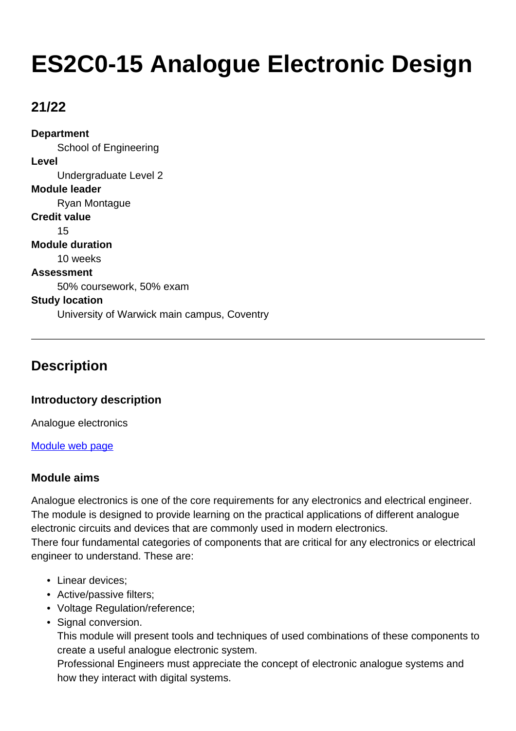# **ES2C0-15 Analogue Electronic Design**

## **21/22**

**Department** School of Engineering **Level** Undergraduate Level 2 **Module leader** Ryan Montague **Credit value** 15 **Module duration** 10 weeks **Assessment** 50% coursework, 50% exam **Study location** University of Warwick main campus, Coventry

## **Description**

## **Introductory description**

Analogue electronics

[Module web page](http://www2.warwick.ac.uk/fac/sci/eng/eso/modules/year2/)

## **Module aims**

Analogue electronics is one of the core requirements for any electronics and electrical engineer. The module is designed to provide learning on the practical applications of different analogue electronic circuits and devices that are commonly used in modern electronics.

There four fundamental categories of components that are critical for any electronics or electrical engineer to understand. These are:

- Linear devices:
- Active/passive filters;
- Voltage Regulation/reference;
- Signal conversion.

This module will present tools and techniques of used combinations of these components to create a useful analogue electronic system.

Professional Engineers must appreciate the concept of electronic analogue systems and how they interact with digital systems.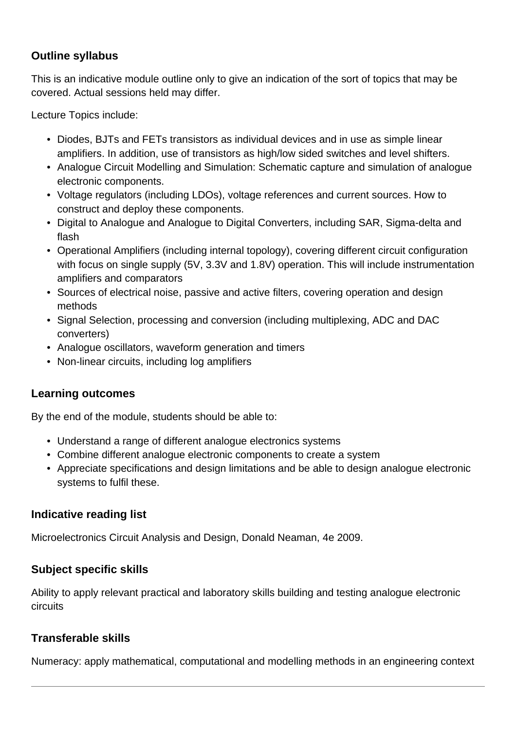## **Outline syllabus**

This is an indicative module outline only to give an indication of the sort of topics that may be covered. Actual sessions held may differ.

Lecture Topics include:

- Diodes, BJTs and FETs transistors as individual devices and in use as simple linear amplifiers. In addition, use of transistors as high/low sided switches and level shifters.
- Analogue Circuit Modelling and Simulation: Schematic capture and simulation of analogue electronic components.
- Voltage regulators (including LDOs), voltage references and current sources. How to construct and deploy these components.
- Digital to Analogue and Analogue to Digital Converters, including SAR, Sigma-delta and flash
- Operational Amplifiers (including internal topology), covering different circuit configuration with focus on single supply (5V, 3.3V and 1.8V) operation. This will include instrumentation amplifiers and comparators
- Sources of electrical noise, passive and active filters, covering operation and design methods
- Signal Selection, processing and conversion (including multiplexing, ADC and DAC converters)
- Analogue oscillators, waveform generation and timers
- Non-linear circuits, including log amplifiers

## **Learning outcomes**

By the end of the module, students should be able to:

- Understand a range of different analogue electronics systems
- Combine different analogue electronic components to create a system
- Appreciate specifications and design limitations and be able to design analogue electronic systems to fulfil these.

## **Indicative reading list**

Microelectronics Circuit Analysis and Design, Donald Neaman, 4e 2009.

## **Subject specific skills**

Ability to apply relevant practical and laboratory skills building and testing analogue electronic circuits

## **Transferable skills**

Numeracy: apply mathematical, computational and modelling methods in an engineering context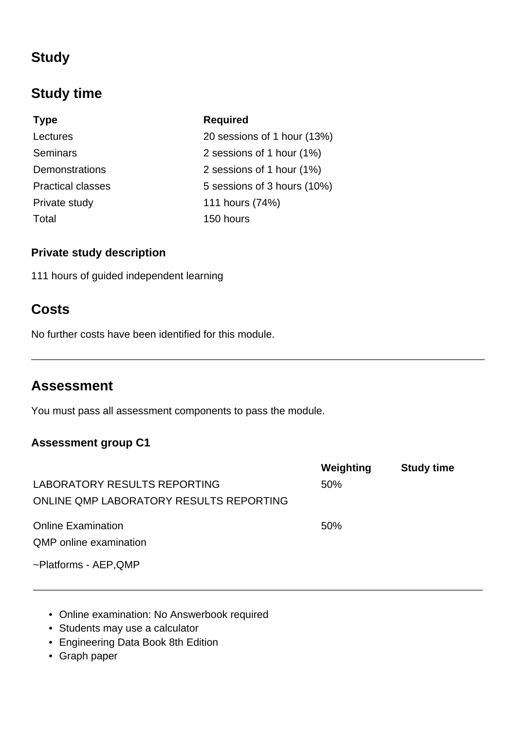## **Study**

## **Study time**

**Type Required** Total 150 hours

Lectures 20 sessions of 1 hour (13%) Seminars 2 sessions of 1 hour (1%) Demonstrations 2 sessions of 1 hour (1%) Practical classes 5 sessions of 3 hours (10%) Private study 111 hours (74%)

## **Private study description**

111 hours of guided independent learning

## **Costs**

No further costs have been identified for this module.

## **Assessment**

You must pass all assessment components to pass the module.

## **Assessment group C1**

|                                         | Weighting | <b>Study time</b> |
|-----------------------------------------|-----------|-------------------|
| LABORATORY RESULTS REPORTING            | 50%       |                   |
| ONLINE QMP LABORATORY RESULTS REPORTING |           |                   |
| <b>Online Examination</b>               | 50%       |                   |
| <b>QMP</b> online examination           |           |                   |
| ~Platforms - AEP, QMP                   |           |                   |

- Online examination: No Answerbook required
- Students may use a calculator
- Engineering Data Book 8th Edition
- Graph paper